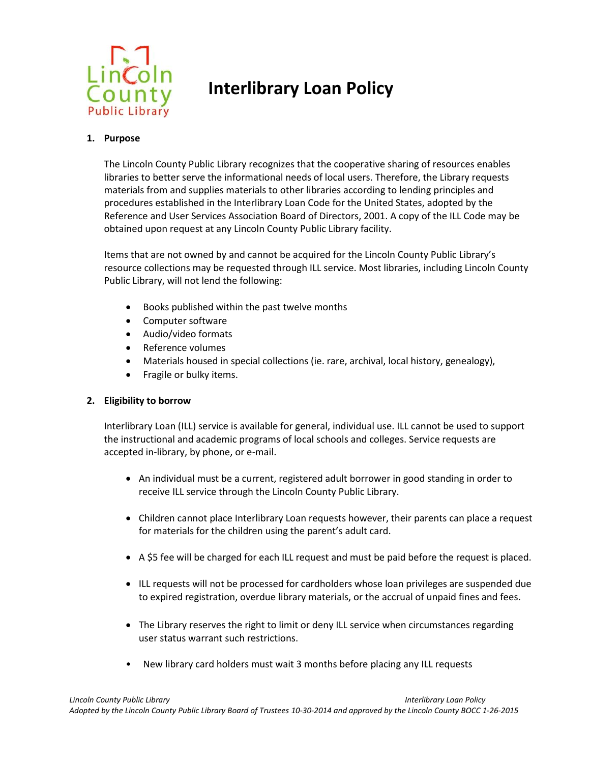

## **Interlibrary Loan Policy**

## **1. Purpose**

The Lincoln County Public Library recognizes that the cooperative sharing of resources enables libraries to better serve the informational needs of local users. Therefore, the Library requests materials from and supplies materials to other libraries according to lending principles and procedures established in the Interlibrary Loan Code for the United States, adopted by the Reference and User Services Association Board of Directors, 2001. A copy of the ILL Code may be obtained upon request at any Lincoln County Public Library facility.

Items that are not owned by and cannot be acquired for the Lincoln County Public Library's resource collections may be requested through ILL service. Most libraries, including Lincoln County Public Library, will not lend the following:

- Books published within the past twelve months
- Computer software
- Audio/video formats
- Reference volumes
- Materials housed in special collections (ie. rare, archival, local history, genealogy),
- Fragile or bulky items.

## **2. Eligibility to borrow**

Interlibrary Loan (ILL) service is available for general, individual use. ILL cannot be used to support the instructional and academic programs of local schools and colleges. Service requests are accepted in-library, by phone, or e-mail.

- An individual must be a current, registered adult borrower in good standing in order to receive ILL service through the Lincoln County Public Library.
- Children cannot place Interlibrary Loan requests however, their parents can place a request for materials for the children using the parent's adult card.
- A \$5 fee will be charged for each ILL request and must be paid before the request is placed.
- ILL requests will not be processed for cardholders whose loan privileges are suspended due to expired registration, overdue library materials, or the accrual of unpaid fines and fees.
- The Library reserves the right to limit or deny ILL service when circumstances regarding user status warrant such restrictions.
- New library card holders must wait 3 months before placing any ILL requests